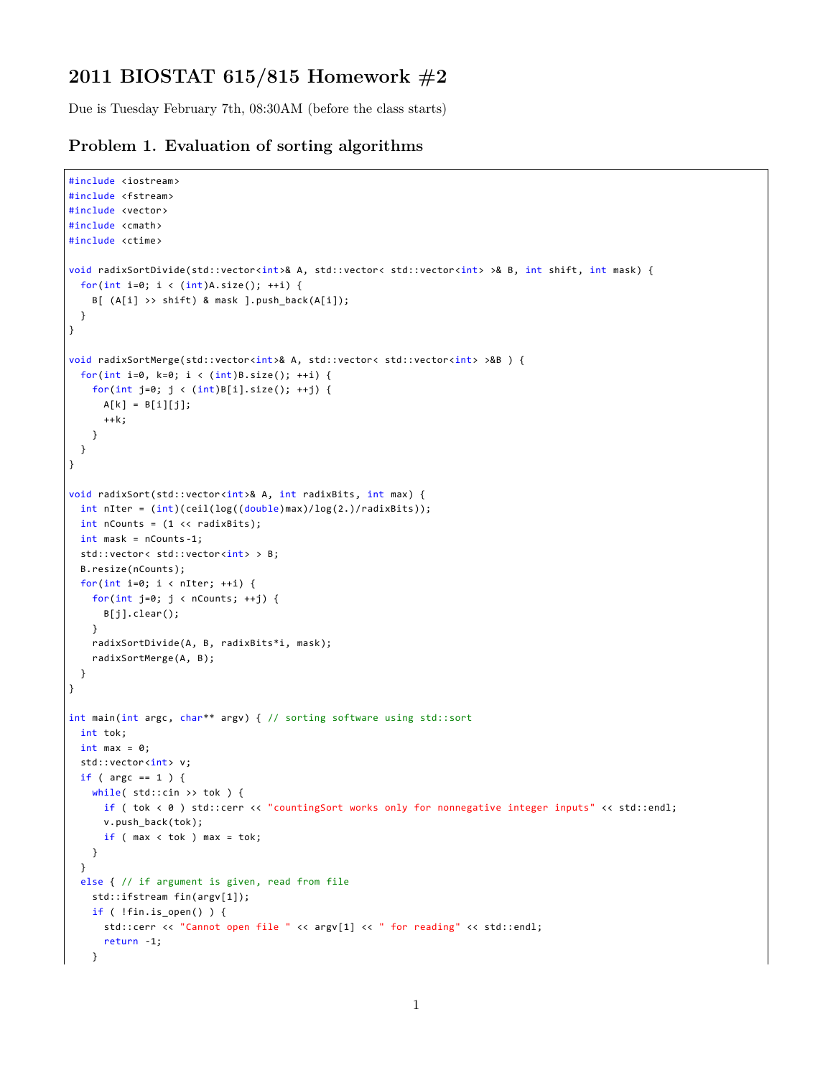## **2011 BIOSTAT 615/815 Homework #2**

Due is Tuesday February 7th, 08:30AM (before the class starts)

## **Problem 1. Evaluation of sorting algorithms**

```
#include <iostream>
#include <fstream>
#include <vector>
#include <cmath>
#include <ctime>
void radixSortDivide(std::vector<int>& A, std::vector< std::vector<int> >& B, int shift, int mask) {
 for(int i=0; i < (int)A.size(); ++i) {
    B[ (A[i] >> shift) & mask ].push_back(A[i]);
 }
}
void radixSortMerge(std::vector<int>& A, std::vector< std::vector<int> >&B ) {
 for(int i=0, k=0; i < (int)B.size(); ++i) {
    for(int j=0; j < (int)B[i].size(); ++j) {
     A[k] = B[i][j];++k;
    }
 }
}
void radixSort(std::vector<int>& A, int radixBits, int max) {
  int nIter = (int)(ceil(log((double)max)/log(2.)/radixBits));
  int nCounts = (1 \lt k \text{ radius}int mask = nCounts -1;
 std::vector< std::vector<int> > B;
 B.resize(nCounts);
 for(int i=0; i < nIter; ++i) {
    for(int j=0; j < nCounts; ++j) {
      B[j].clear();
    }
    radixSortDivide(A, B, radixBits*i, mask);
    radixSortMerge(A, B);
 }
}
int main(int argc, char** argv) { // sorting software using std::sort
  int tok;
  int max = 0;
  std::vector<int> v;
 if ( argc == 1 ) {
    while( std::cin >> tok ) {
     if ( tok < 0 ) std::cerr << "countingSort works only for nonnegative integer inputs" << std::endl;
      v.push_back(tok);
      if ( max < tot ) max = tok;
    }
  }
  else { // if argument is given, read from file
    std::ifstream fin(argv[1]);
    if ( !fin.is_open() ) {
      std::cerr << "Cannot open file " << argv[1] << " for reading" << std::endl;
      return -1;
    }
```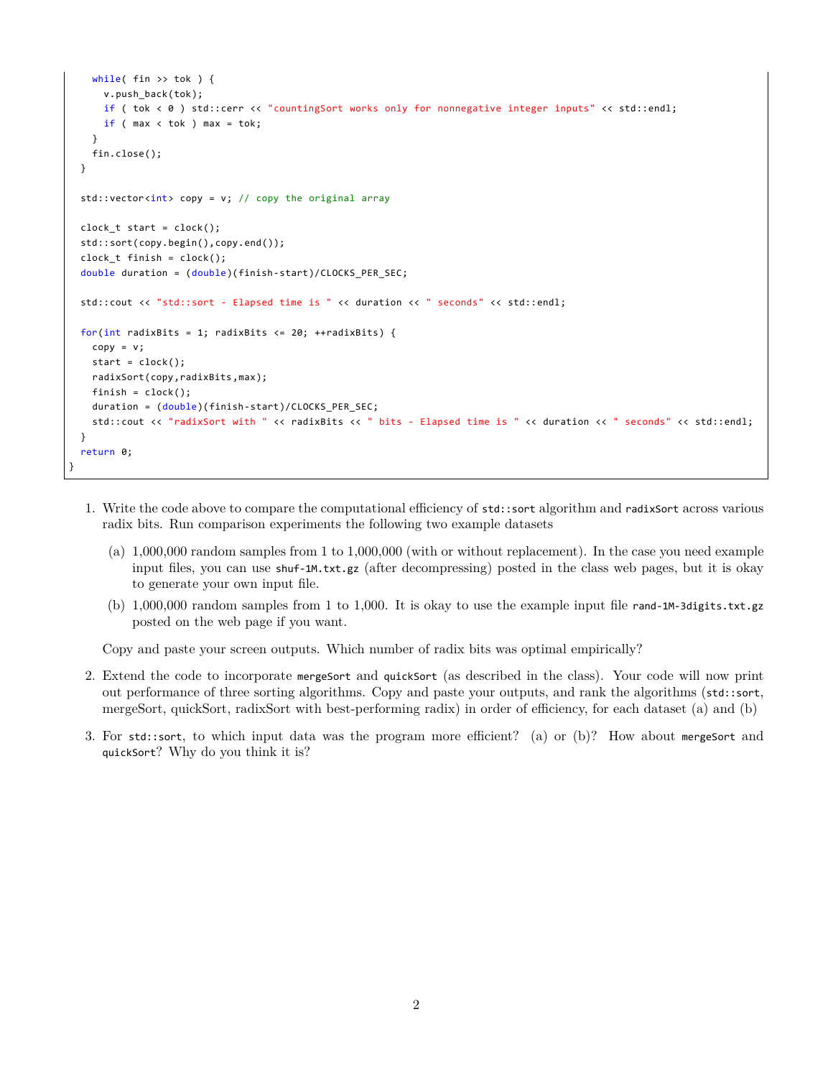```
while( fin >> tok ) \{v.push_back(tok);
     if ( tok < 0 ) std::cerr << "countingSort works only for nonnegative integer inputs" << std::endl;
     if ( max < tok ) max = tok;
   }
   fin.close();
 }
 std::vector<i>int</i> > copy = v; // copy the original arrayclock_t start = clock();std::sort(copy.begin(),copy.end());
 clock t finish = clock();
 double duration = (double)(finish-start)/CLOCKS_PER_SEC;
 std::cout << "std::sort - Elapsed time is " << duration << " seconds" << std::endl;
 for(int radixBits = 1; radixBits <= 20; ++radixBits) {
   copy = v;start = clock();radixSort(copy,radixBits,max);
   finish = clock();
   duration = (double)(finish-start)/CLOCKS PER SEC;
    std::cout << "radixSort with " << radixBits << " bits - Elapsed time is " << duration << " seconds" << std::endl;
 }
  return 0;
}
```
- 1. Write the code above to compare the computational efficiency of std::sort algorithm and radixSort across various radix bits. Run comparison experiments the following two example datasets
	- (a) 1,000,000 random samples from 1 to 1,000,000 (with or without replacement). In the case you need example input files, you can use shuf-1M.txt.gz (after decompressing) posted in the class web pages, but it is okay to generate your own input file.
	- (b) 1,000,000 random samples from 1 to 1,000. It is okay to use the example input file rand-1M-3digits.txt.gz posted on the web page if you want.

Copy and paste your screen outputs. Which number of radix bits was optimal empirically?

- 2. Extend the code to incorporate mergeSort and quickSort (as described in the class). Your code will now print out performance of three sorting algorithms. Copy and paste your outputs, and rank the algorithms (std::sort, mergeSort, quickSort, radixSort with best-performing radix) in order of efficiency, for each dataset (a) and (b)
- 3. For std::sort, to which input data was the program more efficient? (a) or (b)? How about mergeSort and quickSort? Why do you think it is?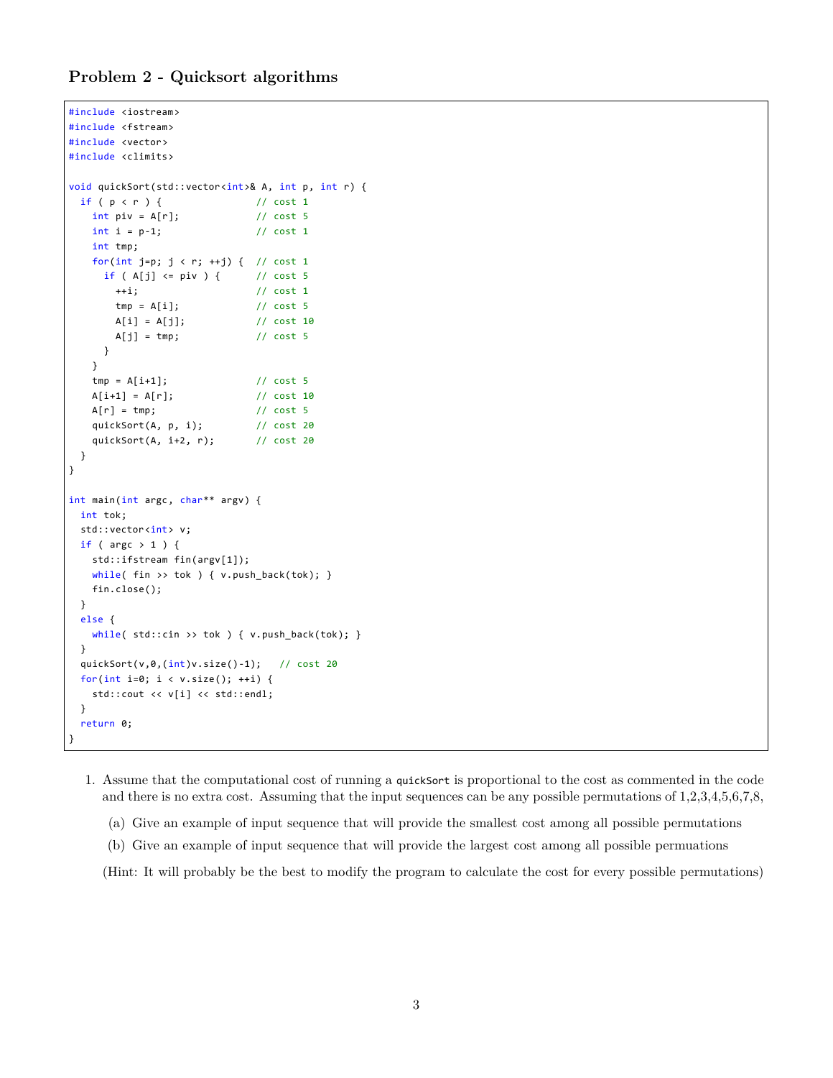## **Problem 2 - Quicksort algorithms**

```
#include <iostream>
#include <fstream>
#include <vector>
#include <climits>
void quickSort(std::vector<int>& A, int p, int r) {
 if ( p < r ) { <br> \frac{1}{r} // cost 1<br> \frac{1}{r} int piv = A[r]; <br> // cost 5
   int \pi v = A[r];int i = p-1; // cost 1
   int tmp;
   for(int j=p; j < r; ++j) { // cost 1
     if (A[j] \leq piv) { // cost 5
       ++i; // cost 1
       tmp = A[i]; // cost 5
       A[i] = A[j]; // cost 10
       A[j] = tmp; // cost 5
     }
    }
   tmp = A[i+1]; // cost 5
   A[i+1] = A[r]; // cost 10<br>A[r] = tmp; // cost 5
   A[r] = tmp;quickSort(A, p, i); // cost 20
    quickSort(A, i+2, r); // cost 20
  }
}
int main(int argc, char** argv) {
 int tok;
  std::vector<int> v;
  if ( argc > 1 ) {
   std::ifstream fin(argv[1]);
   while( fin >> tok ) { v.push_back(tok); }
   fin.close();
 }
  else {
   while( std::cin >> tok ) { v.push_back(tok); }
  }
  quickSort(v,0,(int)v.size()-1); // cost 20
  for(int i=0; i \times v.size(); ++i) {
    std::cout << v[i] << std::endl;
 }
  return 0;
}
```
- 1. Assume that the computational cost of running a quickSort is proportional to the cost as commented in the code and there is no extra cost. Assuming that the input sequences can be any possible permutations of 1,2,3,4,5,6,7,8,
	- (a) Give an example of input sequence that will provide the smallest cost among all possible permutations
	- (b) Give an example of input sequence that will provide the largest cost among all possible permuations

(Hint: It will probably be the best to modify the program to calculate the cost for every possible permutations)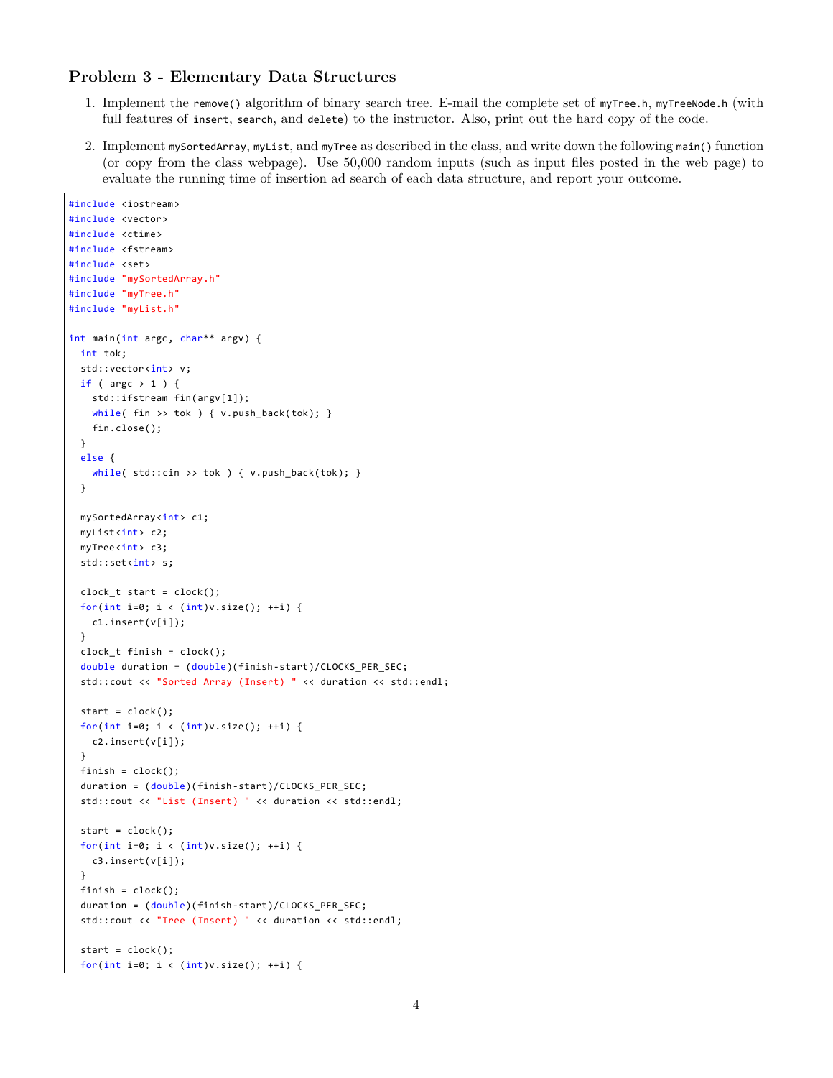## **Problem 3 - Elementary Data Structures**

- 1. Implement the remove() algorithm of binary search tree. E-mail the complete set of myTree.h, myTreeNode.h (with full features of insert, search, and delete) to the instructor. Also, print out the hard copy of the code.
- 2. Implement mySortedArray, myList, and myTree as described in the class, and write down the following main() function (or copy from the class webpage). Use 50,000 random inputs (such as input files posted in the web page) to evaluate the running time of insertion ad search of each data structure, and report your outcome.

```
#include <iostream>
#include <vector>
#include <ctime>
#include <fstream>
#include <set>
#include "mySortedArray.h"
#include "myTree.h"
#include "myList.h"
int main(int argc, char** argv) {
 int tok;
 std::vector<int> v;
 if ( argc > 1 ) {
   std::ifstream fin(argv[1]);
    while( fin >> tok ) { v.push_back(tok); }
    fin.close();
 }
  else {
    while( std::cin >> tok ) { v.push_back(tok); }
  }
 mySortedArray<int> c1;
 myList<int> c2;
 myTree<int> c3;
 std::set<int> s;
  clock_t start = clock();
  for(int i=0; i < (int)v.size(); ++i) {
    c1.insert(v[i]);
 }
 clock_t finish = clock();
  double duration = (double)(finish-start)/CLOCKS_PER_SEC;
  std::cout << "Sorted Array (Insert) " << duration << std::endl;
 start = clock();for(int i=0; i < (int)v.size(); ++i) {
    c2.insert(v[i]);
 }
 finish = clock();duration = (double)(finish-start)/CLOCKS_PER_SEC;
  std::cout << "List (Insert) " << duration << std::endl;
 start = clock();for(int i=0; i < (int)v.size(); ++i) {
    c3.insert(v[i]);
 }
 finish = clock();
  duration = (double)(finish-start)/CLOCKS_PER_SEC;
  std::cout << "Tree (Insert) " << duration << std::endl;
  start = clock();for(int i=0; i < (int)v.size(); ++i) {
```